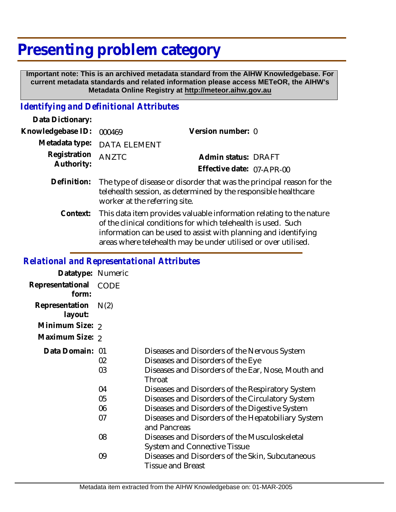# **Presenting problem category**

 **Important note: This is an archived metadata standard from the AIHW Knowledgebase. For current metadata standards and related information please access METeOR, the AIHW's Metadata Online Registry at http://meteor.aihw.gov.au**

## *Identifying and Definitional Attributes*

| Data Dictionary:           |                                                                                                                                                                                                                                                                           |                           |
|----------------------------|---------------------------------------------------------------------------------------------------------------------------------------------------------------------------------------------------------------------------------------------------------------------------|---------------------------|
| Knowledgebase ID:          | 000469                                                                                                                                                                                                                                                                    | Version number: 0         |
| Metadata type:             | <b>DATA ELEMENT</b>                                                                                                                                                                                                                                                       |                           |
| Registration<br>Authority: | <b>ANZTC</b>                                                                                                                                                                                                                                                              | Admin status: DRAFT       |
|                            |                                                                                                                                                                                                                                                                           | Effective date: 07-APR-00 |
| Definition:                | The type of disease or disorder that was the principal reason for the<br>telehealth session, as determined by the responsible healthcare<br>worker at the referring site.                                                                                                 |                           |
| Context:                   | This data item provides valuable information relating to the nature<br>of the clinical conditions for which telehealth is used. Such<br>information can be used to assist with planning and identifying<br>areas where telehealth may be under utilised or over utilised. |                           |

#### *Relational and Representational Attributes*

| Datatype: Numeric         |             |                                                                                                                                                   |
|---------------------------|-------------|---------------------------------------------------------------------------------------------------------------------------------------------------|
| Representational<br>form: | <b>CODE</b> |                                                                                                                                                   |
| Representation<br>layout: | N(2)        |                                                                                                                                                   |
| Minimum Size: 2           |             |                                                                                                                                                   |
| Maximum Size: 2           |             |                                                                                                                                                   |
| Data Domain: 01           | 02<br>03    | Diseases and Disorders of the Nervous System<br>Diseases and Disorders of the Eye<br>Diseases and Disorders of the Ear, Nose, Mouth and<br>Throat |
|                           | 04          | Diseases and Disorders of the Respiratory System                                                                                                  |
|                           | 05          | Diseases and Disorders of the Circulatory System                                                                                                  |
|                           | 06          | Diseases and Disorders of the Digestive System                                                                                                    |
|                           | 07          | Diseases and Disorders of the Hepatobiliary System<br>and Pancreas                                                                                |
|                           | 08          | Diseases and Disorders of the Musculoskeletal<br>System and Connective Tissue                                                                     |
|                           | 09          | Diseases and Disorders of the Skin, Subcutaneous<br><b>Tissue and Breast</b>                                                                      |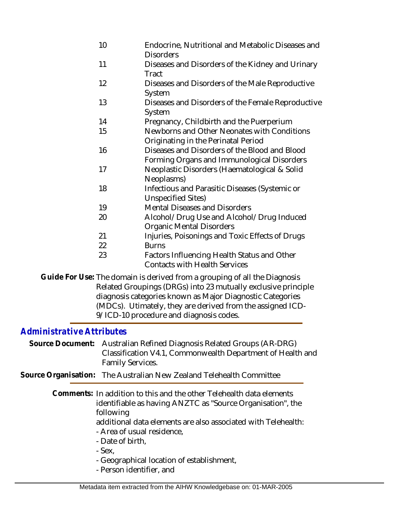- 10 Endocrine, Nutritional and Metabolic Diseases and **Disorders**
- 11 Diseases and Disorders of the Kidney and Urinary **Tract**
- 12 Diseases and Disorders of the Male Reproductive System
- 13 Diseases and Disorders of the Female Reproductive System
- 14 Pregnancy, Childbirth and the Puerperium
- 15 Newborns and Other Neonates with Conditions Originating in the Perinatal Period
- 16 Diseases and Disorders of the Blood and Blood Forming Organs and Immunological Disorders
- 17 Neoplastic Disorders (Haematological & Solid Neoplasms)
- 18 Infectious and Parasitic Diseases (Systemic or Unspecified Sites)
- 19 Mental Diseases and Disorders
- 20 Alcohol/Drug Use and Alcohol/Drug Induced Organic Mental Disorders
- 21 22 Injuries, Poisonings and Toxic Effects of Drugs **Burns**
- 23 Factors Influencing Health Status and Other Contacts with Health Services
- Guide For Use: The domain is derived from a grouping of all the Diagnosis Related Groupings (DRGs) into 23 mutually exclusive principle diagnosis categories known as Major Diagnostic Categories (MDCs). Utimately, they are derived from the assigned ICD-9/ICD-10 procedure and diagnosis codes.

# *Administrative Attributes*

- Source Document: Australian Refined Diagnosis Related Groups (AR-DRG) Classification V4.1, Commonwealth Department of Health and Family Services.
- **Source Organisation:** The Australian New Zealand Telehealth Committee

Comments: In addition to this and the other Telehealth data elements identifiable as having ANZTC as "Source Organisation", the following

- additional data elements are also associated with Telehealth: - Area of usual residence,
- Date of birth,
- Sex,
- Geographical location of establishment,
- Person identifier, and